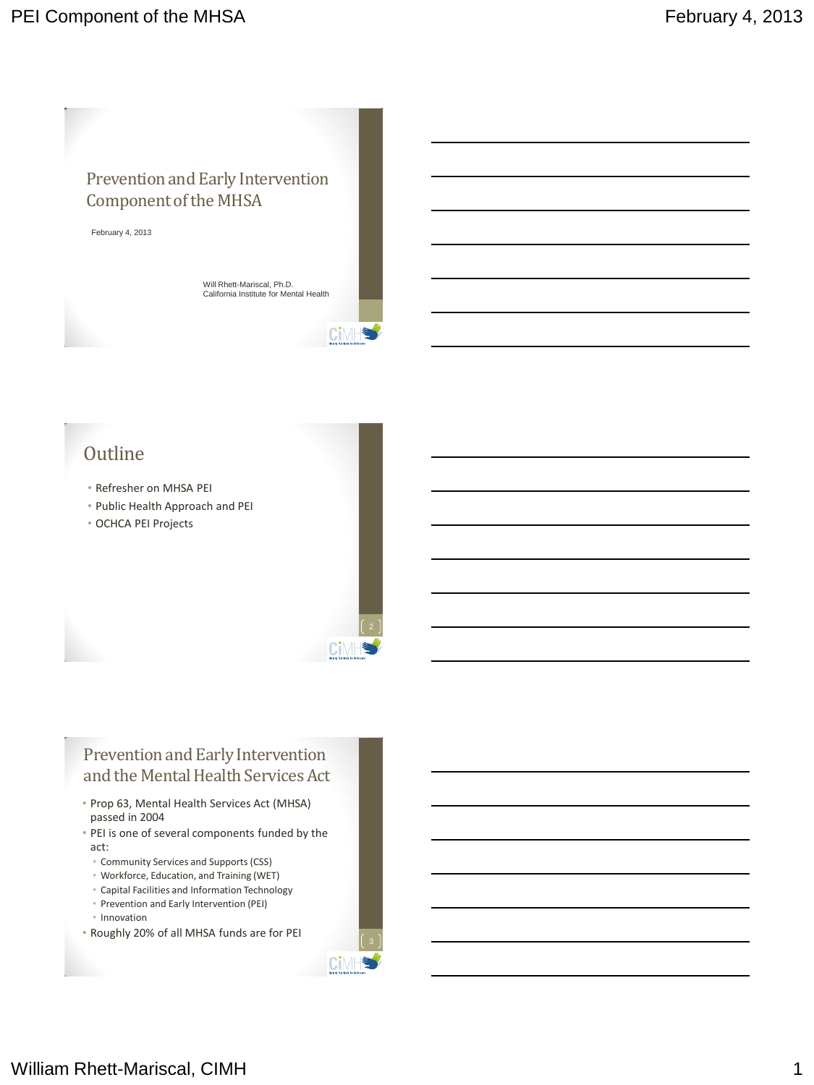

Will Rhett-Mariscal, Ph.D. California Institute for Mental Health

Cimh

Сi

**Ci**MF

## **Outline**

- Refresher on MHSA PEI
- Public Health Approach and PEI
- OCHCA PEI Projects

### Prevention and Early Intervention and the Mental Health Services Act

- Prop 63, Mental Health Services Act (MHSA) passed in 2004
- PEI is one of several components funded by the act:
	- Community Services and Supports (CSS)
	- Workforce, Education, and Training (WET)
	- Capital Facilities and Information Technology
	- Prevention and Early Intervention (PEI)
	- Innovation
- Roughly 20% of all MHSA funds are for PEI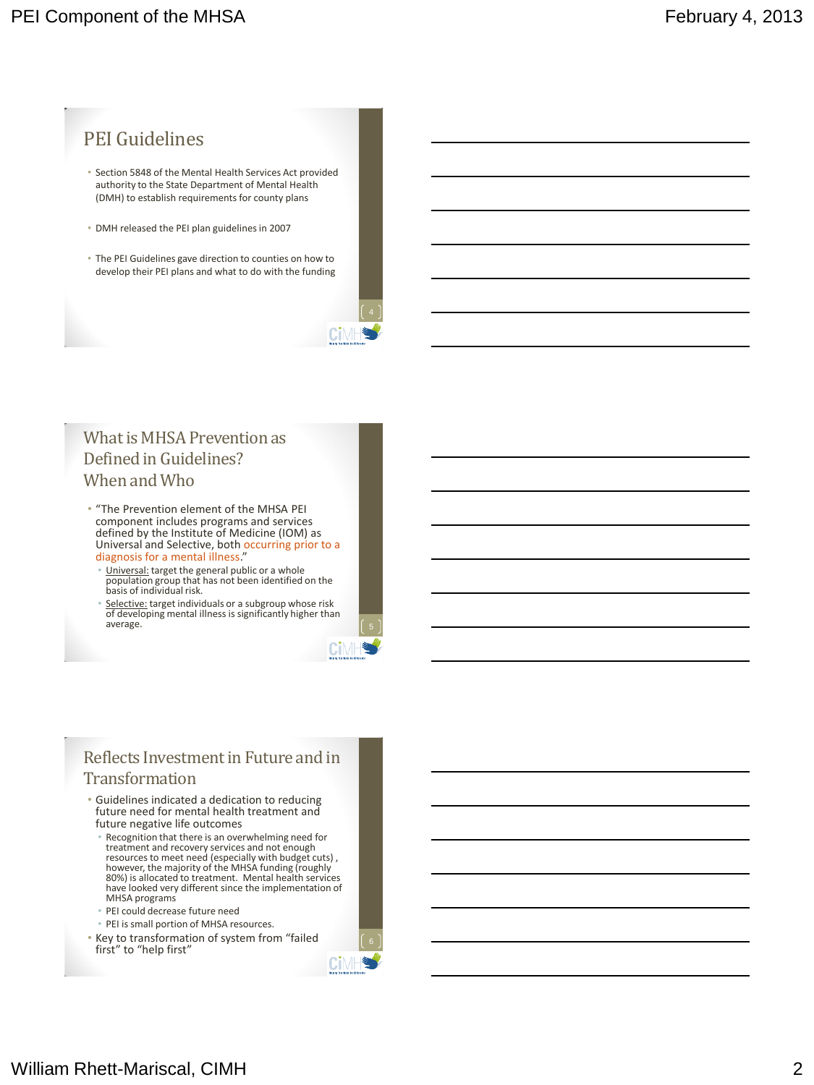

- Section 5848 of the Mental Health Services Act provided authority to the State Department of Mental Health (DMH) to establish requirements for county plans
- DMH released the PEI plan guidelines in 2007
- The PEI Guidelines gave direction to counties on how to develop their PEI plans and what to do with the funding



- "The Prevention element of the MHSA PEI component includes programs and services defined by the Institute of Medicine (IOM) as Universal and Selective, both occurring prior to a diagnosis for a mental illness."
	- Universal: target the general public or a whole population group that has not been identified on the basis of individual risk.
	- Selective: target individuals or a subgroup whose risk of developing mental illness is significantly higher than average.



80%) is allocated to treatment. Mental health services have looked very different since the implementation of MHSA programs

CiM

- PEI could decrease future need
- PEI is small portion of MHSA resources. • Key to transformation of system from "failed first" to "help first"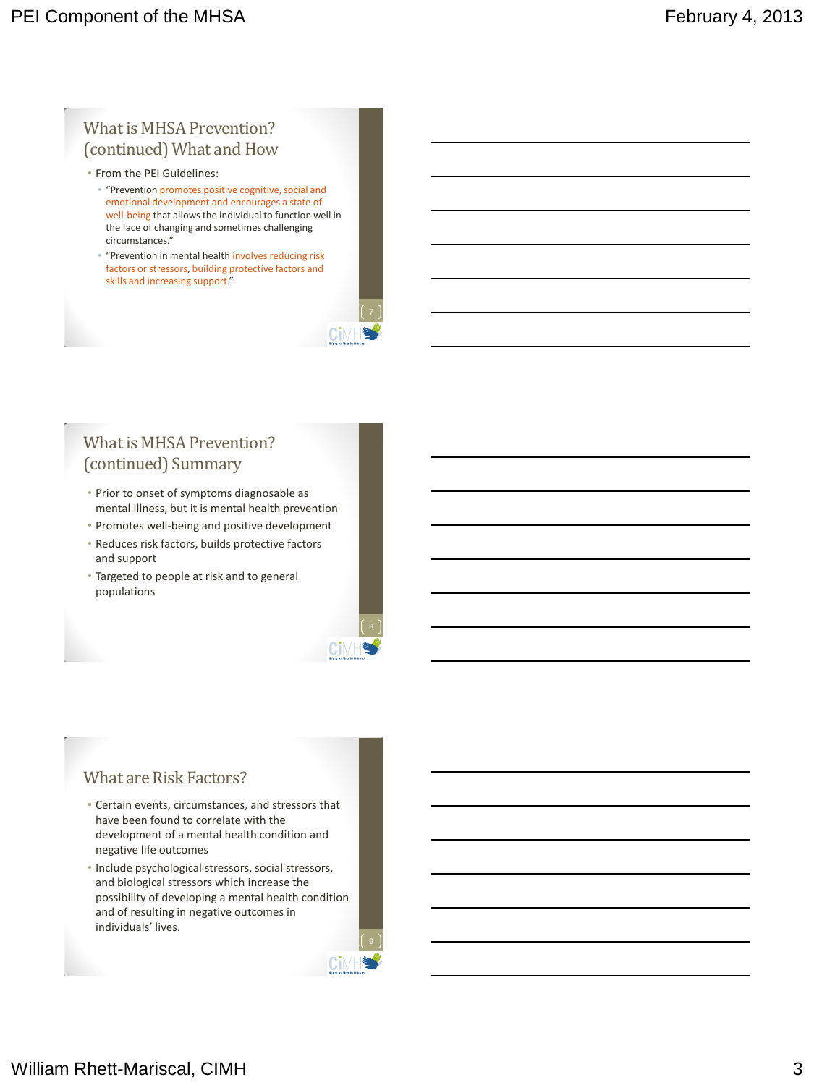### What is MHSA Prevention? (continued) What and How

- From the PEI Guidelines:
	- "Prevention promotes positive cognitive, social and emotional development and encourages a state of well-being that allows the individual to function well in the face of changing and sometimes challenging circumstances."
	- "Prevention in mental health involves reducing risk factors or stressors, building protective factors and skills and increasing support."

## What is MHSA Prevention? (continued) Summary

- Prior to onset of symptoms diagnosable as mental illness, but it is mental health prevention
- Promotes well-being and positive development
- Reduces risk factors, builds protective factors and support
- Targeted to people at risk and to general populations



CiN

#### What are Risk Factors?

- Certain events, circumstances, and stressors that have been found to correlate with the development of a mental health condition and negative life outcomes
- Include psychological stressors, social stressors, and biological stressors which increase the possibility of developing a mental health condition and of resulting in negative outcomes in individuals' lives.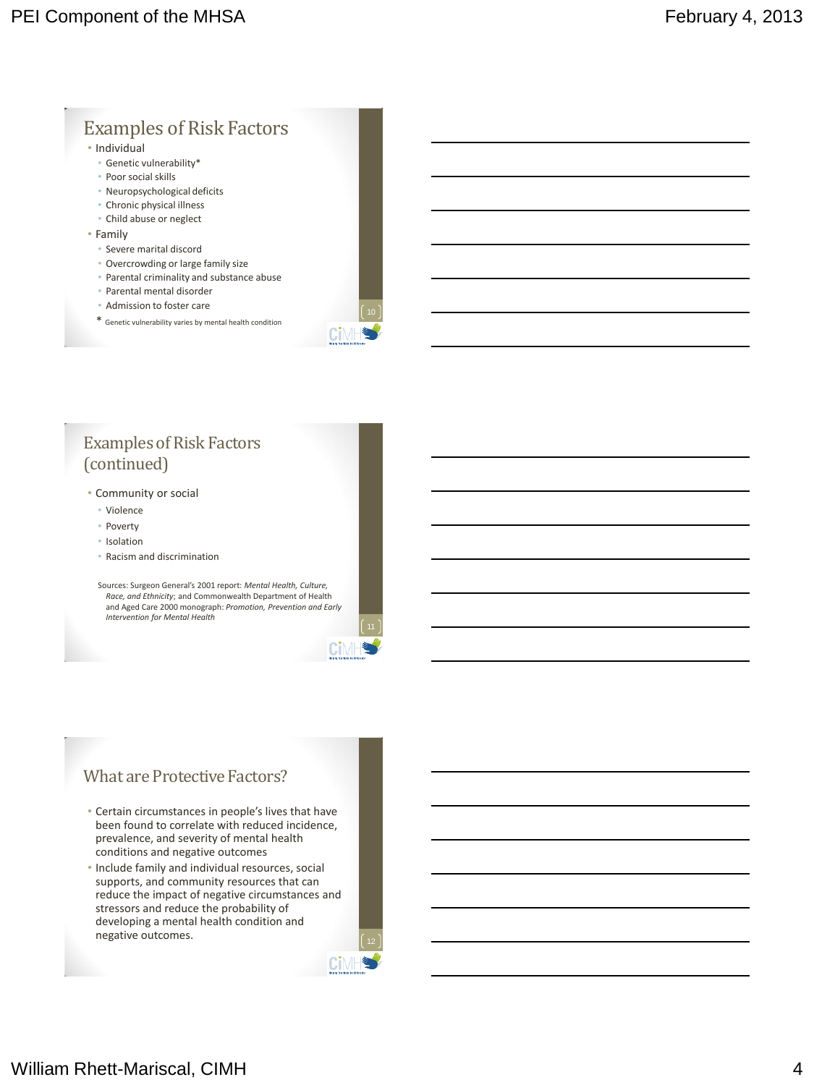#### Examples of Risk Factors • Individual • Genetic vulnerability\* • Poor social skills • Neuropsychological deficits • Chronic physical illness • Child abuse or neglect • Family • Severe marital discord • Overcrowding or large family size • Parental criminality and substance abuse • Parental mental disorder • Admission to foster care \* Genetic vulnerability varies by mental health condition

### Examples of Risk Factors (continued)

- Community or social
	- Violence
	- Poverty
	- Isolation
	- Racism and discrimination

Sources: Surgeon General's 2001 report: *Mental Health, Culture, Race, and Ethnicity*; and Commonwealth Department of Health and Aged Care 2000 monograph: *Promotion, Prevention and Early Intervention for Mental Health*

#### What are Protective Factors?

- Certain circumstances in people's lives that have been found to correlate with reduced incidence, prevalence, and severity of mental health conditions and negative outcomes
- Include family and individual resources, social supports, and community resources that can reduce the impact of negative circumstances and stressors and reduce the probability of developing a mental health condition and negative outcomes.

Cil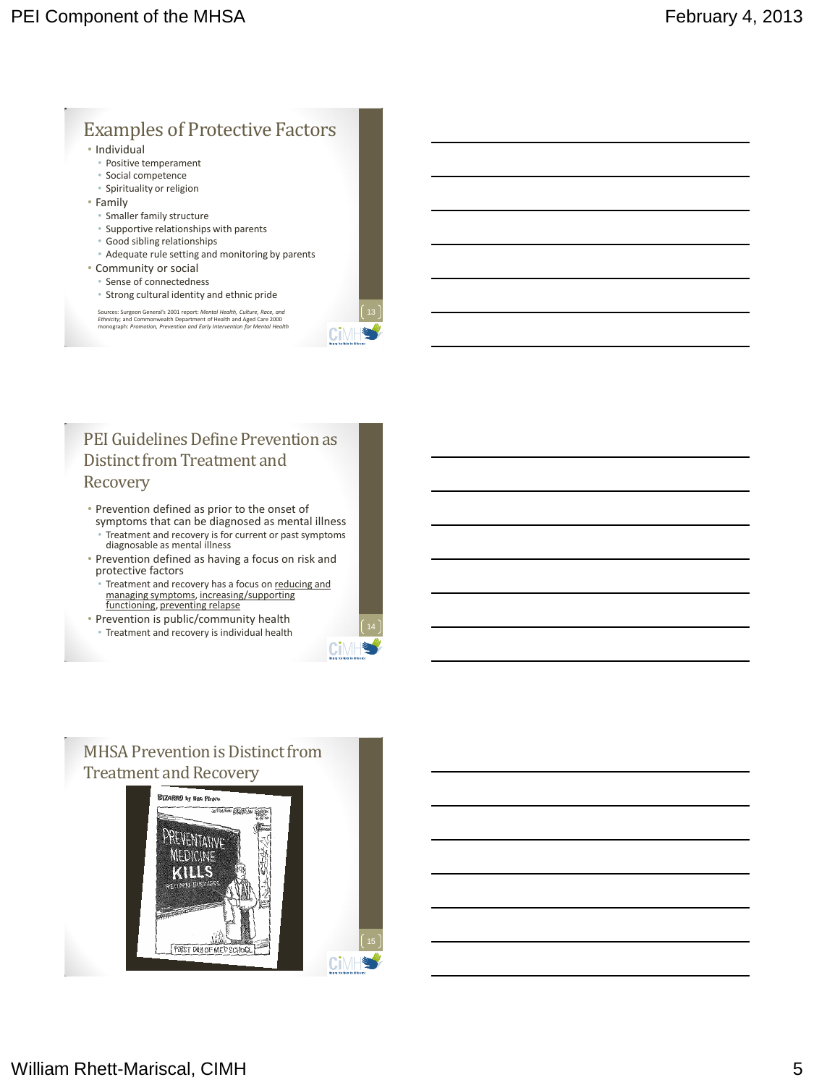## Examples of Protective Factors

- Individual
- Positive temperament
- Social competence
- Spirituality or religion
- Family
	- Smaller family structure
	- Supportive relationships with parents
	- Good sibling relationships
	- Adequate rule setting and monitoring by parents
- Community or social
	- Sense of connectedness
	- Strong cultural identity and ethnic pride

Sources: Surgeon General's 2001 report: M*ental Health, Culture, Race, and*<br>*Ethnicity*; and Commonwealth Department of Health and Aged Care 2000<br>monograph: *Promotion, Prevention and Early Intervention for Mental Health* 

CiMF

CiM

#### PEI Guidelines Define Prevention as Distinct from Treatment and Recovery

- Prevention defined as prior to the onset of symptoms that can be diagnosed as mental illness • Treatment and recovery is for current or past symptoms diagnosable as mental illness
- Prevention defined as having a focus on risk and protective factors
- Treatment and recovery has a focus on reducing and managing symptoms, increasing/supporting functioning, preventing relapse
- Prevention is public/community health • Treatment and recovery is individual health

## MHSA Prevention is Distinct from Treatment and Recovery

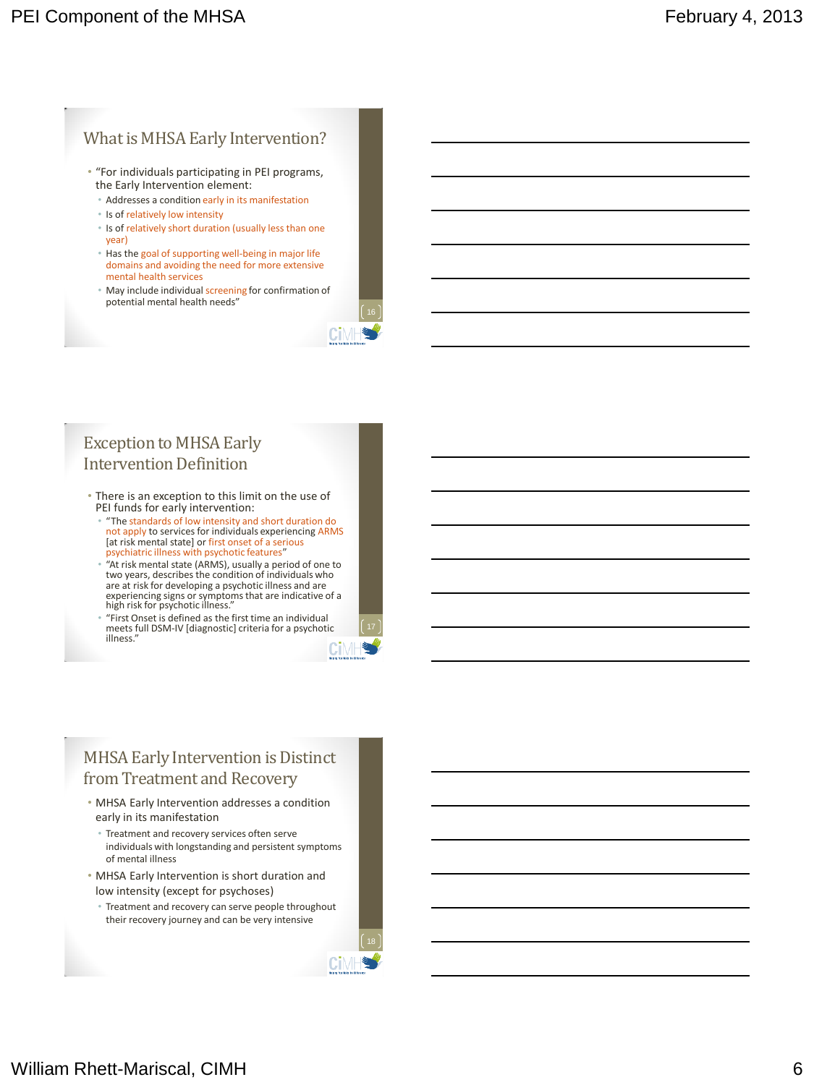#### What is MHSA Early Intervention?

- "For individuals participating in PEI programs, the Early Intervention element:
	- Addresses a condition early in its manifestation
	- Is of relatively low intensity
	- Is of relatively short duration (usually less than one year)
	- Has the goal of supporting well-being in major life domains and avoiding the need for more extensive mental health services
	- May include individual screening for confirmation of potential mental health needs"

#### Exception to MHSA Early Intervention Definition

- There is an exception to this limit on the use of PEI funds for early intervention:
	- "The standards of low intensity and short duration do not apply to services for individuals experiencing ARMS [at risk mental state] or first onset of a serious psychiatric illness with psychotic features"
	- "At risk mental state (ARMS), usually a period of one to two years, describes the condition of individuals who are at risk for developing a psychotic illness and are experiencing signs or symptoms that are indicative of a high risk for psychotic illness."
	- "First Onset is defined as the first time an individual meets full DSM-IV [diagnostic] criteria for a psychotic illness."

### MHSA Early Intervention is Distinct from Treatment and Recovery

- MHSA Early Intervention addresses a condition early in its manifestation
- Treatment and recovery services often serve individuals with longstanding and persistent symptoms of mental illness
- MHSA Early Intervention is short duration and low intensity (except for psychoses)
- Treatment and recovery can serve people throughout their recovery journey and can be very intensive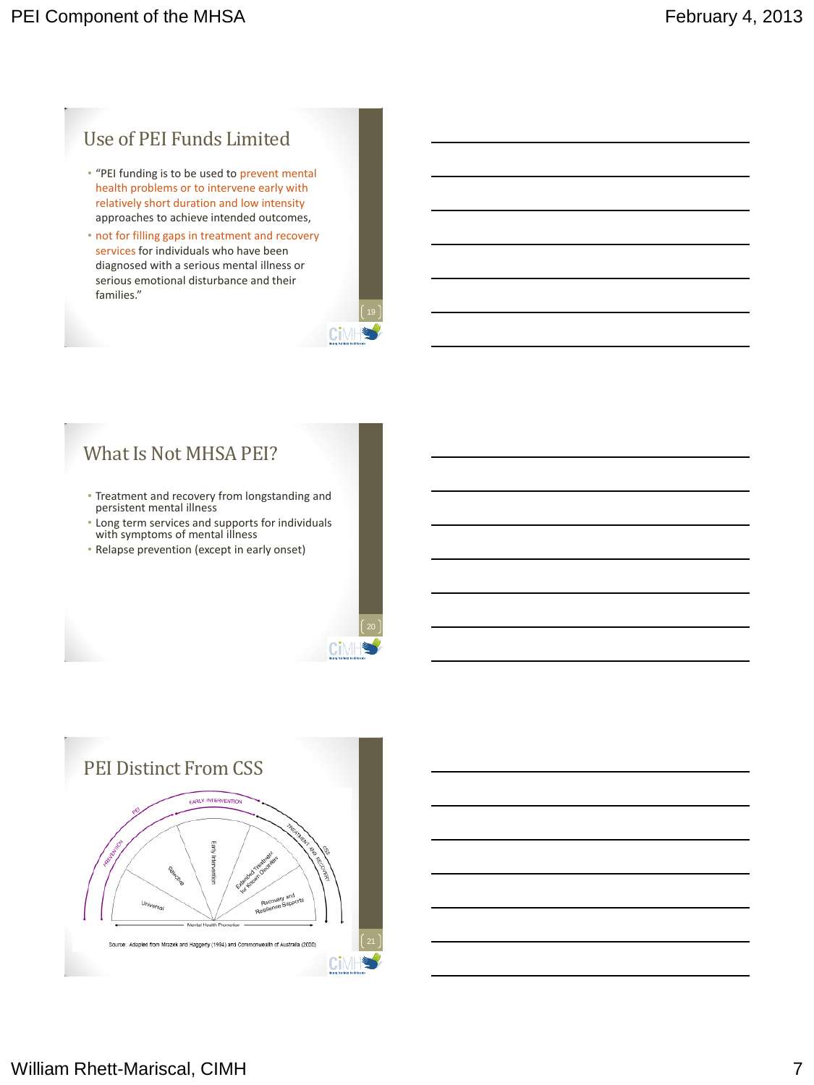## Use of PEI Funds Limited

- "PEI funding is to be used to prevent mental health problems or to intervene early with relatively short duration and low intensity approaches to achieve intended outcomes,
- not for filling gaps in treatment and recovery services for individuals who have been diagnosed with a serious mental illness or serious emotional disturbance and their families."

| <b>Nighty from this de Oldswater</b> |  |
|--------------------------------------|--|

Cil

## What Is Not MHSA PEI?

- Treatment and recovery from longstanding and persistent mental illness
- Long term services and supports for individuals with symptoms of mental illness
- Relapse prevention (except in early onset)

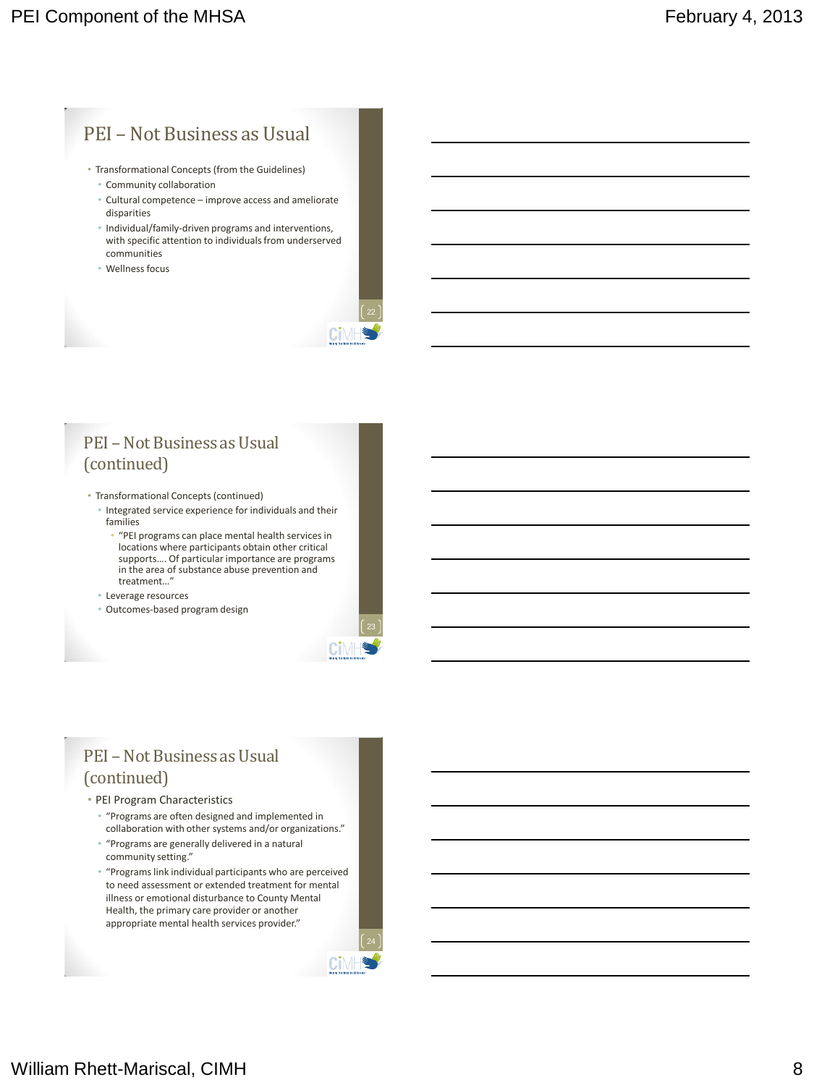## PEI – Not Business as Usual

- Transformational Concepts (from the Guidelines)
	- Community collaboration
	- Cultural competence improve access and ameliorate disparities
	- Individual/family-driven programs and interventions, with specific attention to individuals from underserved communities
	- Wellness focus



### PEI – Not Business as Usual (continued)

- Transformational Concepts (continued)
	- Integrated service experience for individuals and their families
		- "PEI programs can place mental health services in locations where participants obtain other critical supports…. Of particular importance are programs in the area of substance abuse prevention and treatment…"
	- Leverage resources
	- Outcomes-based program design

## PEI – Not Business as Usual (continued)

#### • PEI Program Characteristics

- "Programs are often designed and implemented in collaboration with other systems and/or organizations."
- "Programs are generally delivered in a natural community setting."
- "Programs link individual participants who are perceived to need assessment or extended treatment for mental illness or emotional disturbance to County Mental Health, the primary care provider or another appropriate mental health services provider."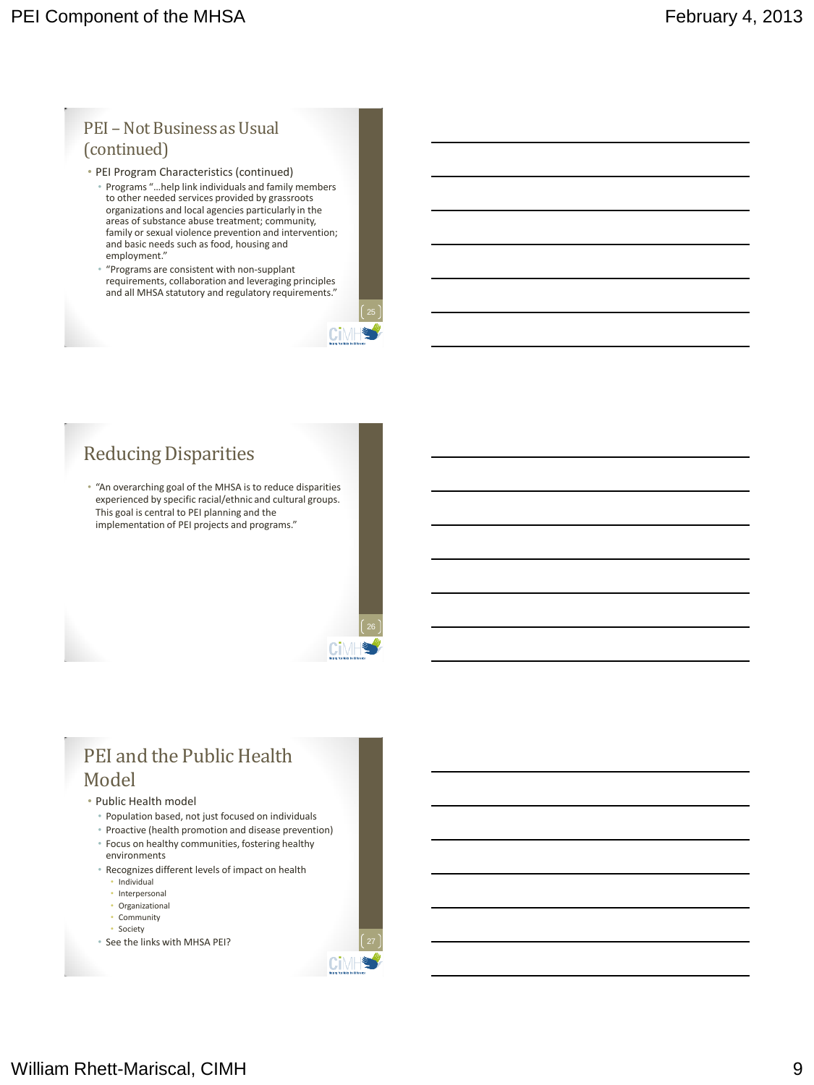#### PEI – Not Business as Usual (continued)

- PEI Program Characteristics (continued)
	- Programs "…help link individuals and family members to other needed services provided by grassroots organizations and local agencies particularly in the areas of substance abuse treatment; community, family or sexual violence prevention and intervention; and basic needs such as food, housing and employment."
	- "Programs are consistent with non-supplant requirements, collaboration and leveraging principles and all MHSA statutory and regulatory requirements."

Cīl

## Reducing Disparities

• "An overarching goal of the MHSA is to reduce disparities experienced by specific racial/ethnic and cultural groups. This goal is central to PEI planning and the implementation of PEI projects and programs."

# PEI and the Public Health Model

- Public Health model
	- Population based, not just focused on individuals
	- Proactive (health promotion and disease prevention) • Focus on healthy communities, fostering healthy
	- environments
	- Recognizes different levels of impact on health
		- Individual
		- Interpersonal • Organizational
		- Community
		- Society
	- See the links with MHSA PEI?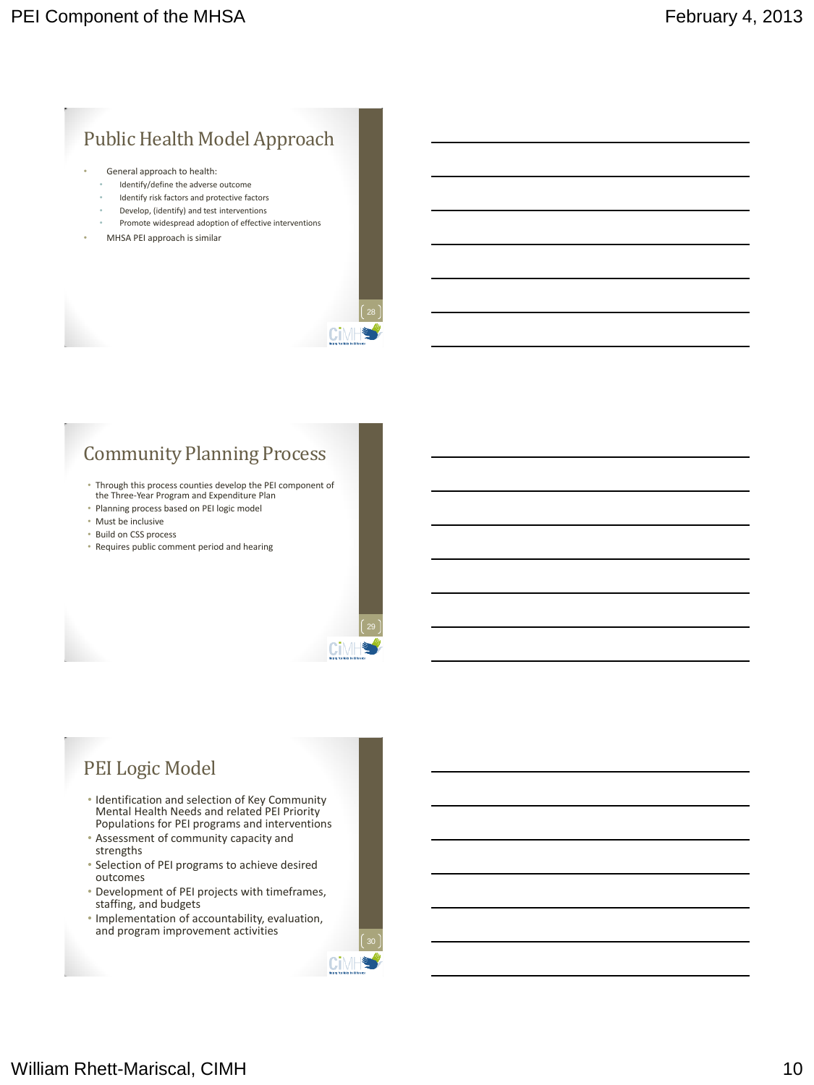## Public Health Model Approach

- General approach to health:
	- Identify/define the adverse outcome
	- Identify risk factors and protective factors
	- Develop, (identify) and test interventions
	- Promote widespread adoption of effective interventions
- MHSA PEI approach is similar



Cil

**Ci**MH

## Community Planning Process

- Through this process counties develop the PEI component of the Three-Year Program and Expenditure Plan
- Planning process based on PEI logic model
- Must be inclusive
- Build on CSS process
- Requires public comment period and hearing

## PEI Logic Model

- Identification and selection of Key Community Mental Health Needs and related PEI Priority Populations for PEI programs and interventions
- Assessment of community capacity and strengths
- Selection of PEI programs to achieve desired outcomes
- Development of PEI projects with timeframes, staffing, and budgets
- Implementation of accountability, evaluation, and program improvement activities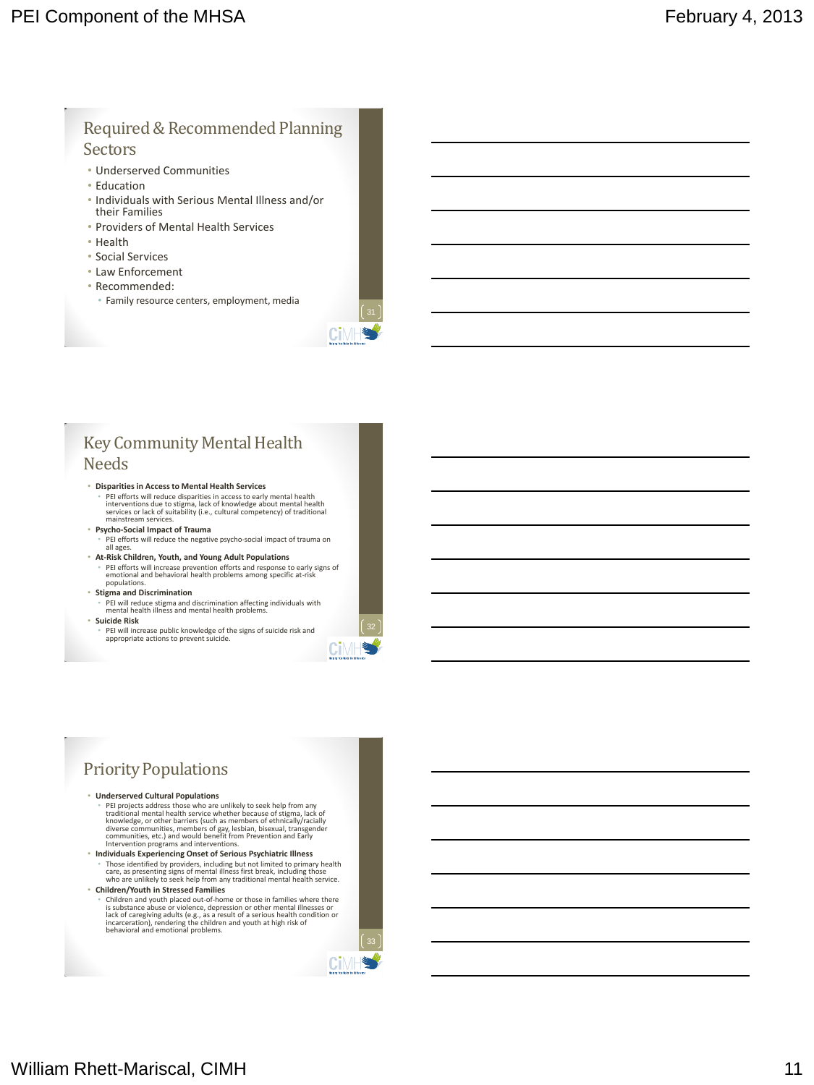#### Required & Recommended Planning **Sectors**

- Underserved Communities
- Education
- Individuals with Serious Mental Illness and/or their Families
- Providers of Mental Health Services
- Health
- Social Services
- Law Enforcement
- Recommended:
	- Family resource centers, employment, media



### Key Community Mental Health Needs

- **Disparities in Access to Mental Health Services** PEI efforts will reduce disparities in access to early mental health<br>interventions due to stigma, lack of knowledge about mental health<br>services or lack of suitability (i.e., cultural competency) of traditional<br>mainstream
- **Psycho-Social Impact of Trauma** • PEI efforts will reduce the negative psycho-social impact of trauma on
- all ages. • **At-Risk Children, Youth, and Young Adult Populations** • PEI efforts will increase prevention efforts and response to early signs of emotional and behavioral health problems among specific at-risk populations.

#### • **Stigma and Discrimination**

- PEI will reduce stigma and discrimination affecting individuals with mental health illness and mental health problems. • **Suicide Risk**
	- PEI will increase public knowledge of the signs of suicide risk and appropriate actions to prevent suicide.



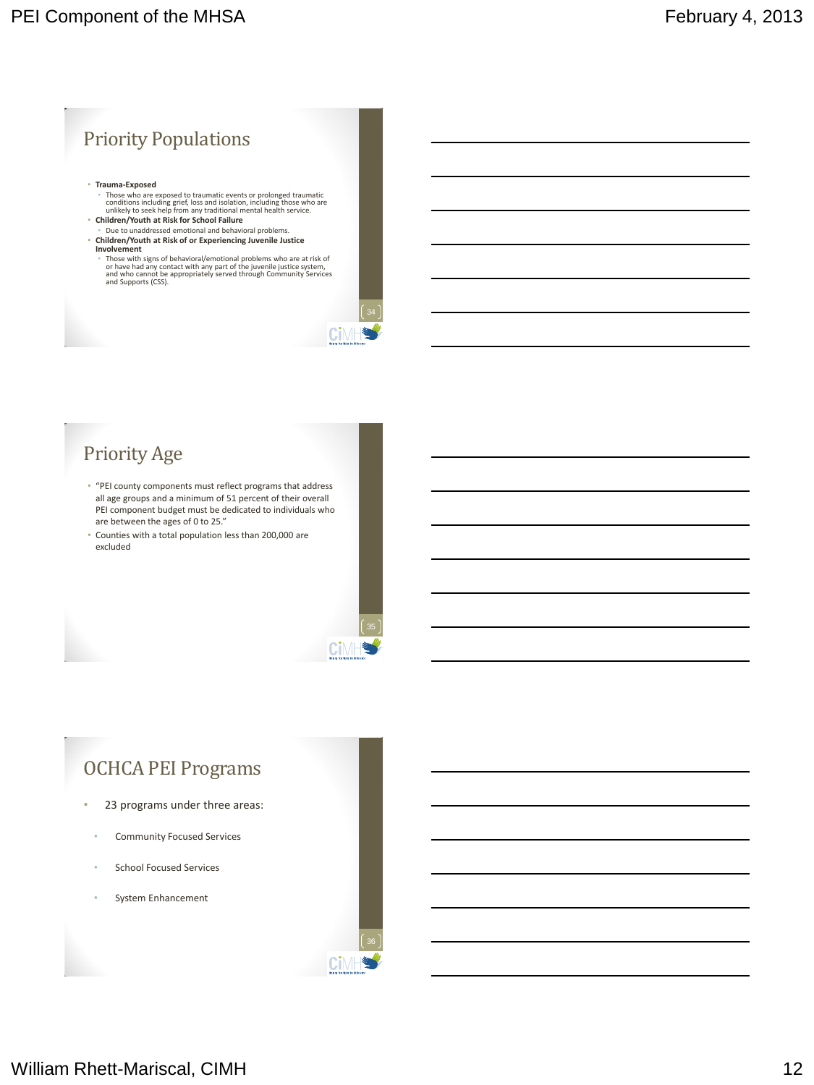

## Priority Age

• "PEI county components must reflect programs that address all age groups and a minimum of 51 percent of their overall PEI component budget must be dedicated to individuals who are between the ages of 0 to 25."

Ci

**Ci**MF

• Counties with a total population less than 200,000 are excluded



- 23 programs under three areas:
	- Community Focused Services
	- School Focused Services
	- System Enhancement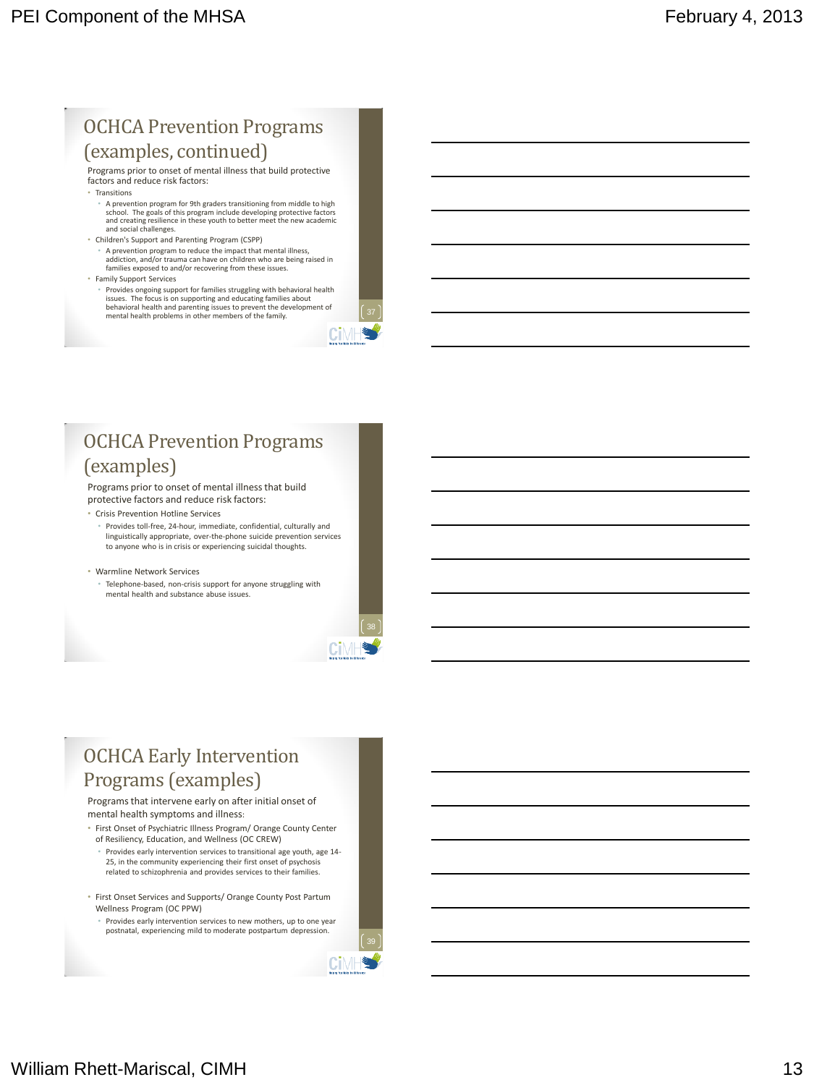## OCHCA Prevention Programs (examples, continued)

Programs prior to onset of mental illness that build protective factors and reduce risk factors:

- Transitions
	- A prevention program for 9th graders transitioning from middle to high school. The goals of this program include developing protective factors and creating resilience in these youth to better meet the new academic and social challenges.
- Children's Support and Parenting Program (CSPP) • A prevention program to reduce the impact that mental illness, addiction, and/or trauma can have on children who are being raised in families exposed to and/or recovering from these issues.
- Family Support Services
	- Provides ongoing support for families struggling with behavioral health issues. The focus is on supporting and educating families about behavioral health and parenting issues to prevent the development of mental health problems in other members of the family.

## OCHCA Prevention Programs (examples)

Programs prior to onset of mental illness that build protective factors and reduce risk factors:

- Crisis Prevention Hotline Services
- Provides toll-free, 24-hour, immediate, confidential, culturally and linguistically appropriate, over-the-phone suicide prevention services to anyone who is in crisis or experiencing suicidal thoughts.

#### • Warmline Network Services

• Telephone-based, non-crisis support for anyone struggling with mental health and substance abuse issues.



**Ci**MH

Cīl

## OCHCA Early Intervention Programs (examples)

#### Programs that intervene early on after initial onset of mental health symptoms and illness:

- First Onset of Psychiatric Illness Program/ Orange County Center of Resiliency, Education, and Wellness (OC CREW)
- Provides early intervention services to transitional age youth, age 14- 25, in the community experiencing their first onset of psychosis related to schizophrenia and provides services to their families.
- First Onset Services and Supports/ Orange County Post Partum Wellness Program (OC PPW)
- Provides early intervention services to new mothers, up to one year postnatal, experiencing mild to moderate postpartum depression.